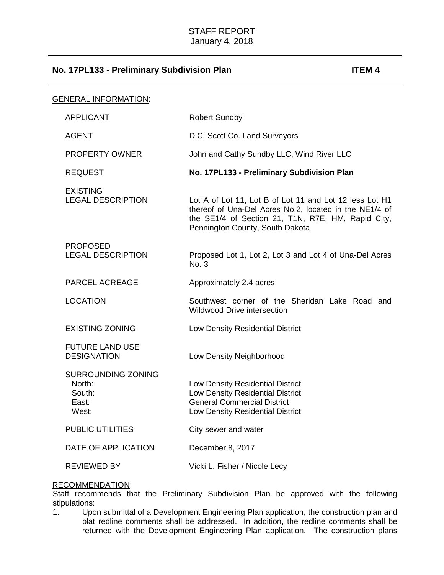| <u>GENERAL INFORMATION:</u>                              |                                                                                                                                                                                                            |
|----------------------------------------------------------|------------------------------------------------------------------------------------------------------------------------------------------------------------------------------------------------------------|
| <b>APPLICANT</b>                                         | <b>Robert Sundby</b>                                                                                                                                                                                       |
| <b>AGENT</b>                                             | D.C. Scott Co. Land Surveyors                                                                                                                                                                              |
| <b>PROPERTY OWNER</b>                                    | John and Cathy Sundby LLC, Wind River LLC                                                                                                                                                                  |
| <b>REQUEST</b>                                           | No. 17PL133 - Preliminary Subdivision Plan                                                                                                                                                                 |
| <b>EXISTING</b><br><b>LEGAL DESCRIPTION</b>              | Lot A of Lot 11, Lot B of Lot 11 and Lot 12 less Lot H1<br>thereof of Una-Del Acres No.2, located in the NE1/4 of<br>the SE1/4 of Section 21, T1N, R7E, HM, Rapid City,<br>Pennington County, South Dakota |
| <b>PROPOSED</b><br><b>LEGAL DESCRIPTION</b>              | Proposed Lot 1, Lot 2, Lot 3 and Lot 4 of Una-Del Acres<br>No. 3                                                                                                                                           |
| <b>PARCEL ACREAGE</b>                                    | Approximately 2.4 acres                                                                                                                                                                                    |
| <b>LOCATION</b>                                          | Southwest corner of the Sheridan Lake Road and<br><b>Wildwood Drive intersection</b>                                                                                                                       |
| <b>EXISTING ZONING</b>                                   | Low Density Residential District                                                                                                                                                                           |
| <b>FUTURE LAND USE</b><br><b>DESIGNATION</b>             | Low Density Neighborhood                                                                                                                                                                                   |
| SURROUNDING ZONING<br>North:<br>South:<br>East:<br>West: | Low Density Residential District<br>Low Density Residential District<br><b>General Commercial District</b><br>Low Density Residential District                                                             |
| <b>PUBLIC UTILITIES</b>                                  | City sewer and water                                                                                                                                                                                       |
| DATE OF APPLICATION                                      | December 8, 2017                                                                                                                                                                                           |
| <b>REVIEWED BY</b>                                       | Vicki L. Fisher / Nicole Lecy                                                                                                                                                                              |

### RECOMMENDATION:

Staff recommends that the Preliminary Subdivision Plan be approved with the following stipulations:

1. Upon submittal of a Development Engineering Plan application, the construction plan and plat redline comments shall be addressed. In addition, the redline comments shall be returned with the Development Engineering Plan application. The construction plans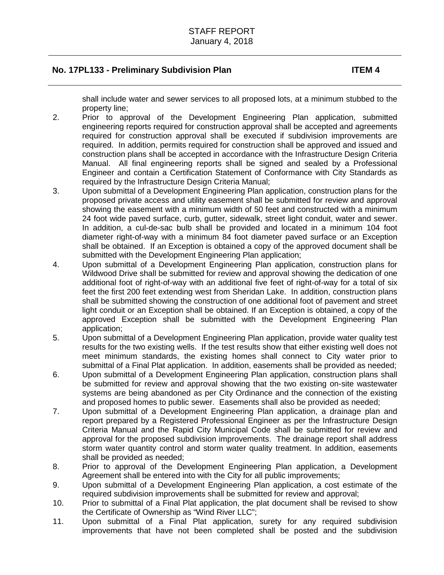shall include water and sewer services to all proposed lots, at a minimum stubbed to the property line;

- 2. Prior to approval of the Development Engineering Plan application, submitted engineering reports required for construction approval shall be accepted and agreements required for construction approval shall be executed if subdivision improvements are required. In addition, permits required for construction shall be approved and issued and construction plans shall be accepted in accordance with the Infrastructure Design Criteria Manual. All final engineering reports shall be signed and sealed by a Professional Engineer and contain a Certification Statement of Conformance with City Standards as required by the Infrastructure Design Criteria Manual;
- 3. Upon submittal of a Development Engineering Plan application, construction plans for the proposed private access and utility easement shall be submitted for review and approval showing the easement with a minimum width of 50 feet and constructed with a minimum 24 foot wide paved surface, curb, gutter, sidewalk, street light conduit, water and sewer. In addition, a cul-de-sac bulb shall be provided and located in a minimum 104 foot diameter right-of-way with a minimum 84 foot diameter paved surface or an Exception shall be obtained. If an Exception is obtained a copy of the approved document shall be submitted with the Development Engineering Plan application;
- 4. Upon submittal of a Development Engineering Plan application, construction plans for Wildwood Drive shall be submitted for review and approval showing the dedication of one additional foot of right-of-way with an additional five feet of right-of-way for a total of six feet the first 200 feet extending west from Sheridan Lake. In addition, construction plans shall be submitted showing the construction of one additional foot of pavement and street light conduit or an Exception shall be obtained. If an Exception is obtained, a copy of the approved Exception shall be submitted with the Development Engineering Plan application;
- 5. Upon submittal of a Development Engineering Plan application, provide water quality test results for the two existing wells. If the test results show that either existing well does not meet minimum standards, the existing homes shall connect to City water prior to submittal of a Final Plat application. In addition, easements shall be provided as needed;
- 6. Upon submittal of a Development Engineering Plan application, construction plans shall be submitted for review and approval showing that the two existing on-site wastewater systems are being abandoned as per City Ordinance and the connection of the existing and proposed homes to public sewer. Easements shall also be provided as needed;
- 7. Upon submittal of a Development Engineering Plan application, a drainage plan and report prepared by a Registered Professional Engineer as per the Infrastructure Design Criteria Manual and the Rapid City Municipal Code shall be submitted for review and approval for the proposed subdivision improvements. The drainage report shall address storm water quantity control and storm water quality treatment. In addition, easements shall be provided as needed;
- 8. Prior to approval of the Development Engineering Plan application, a Development Agreement shall be entered into with the City for all public improvements;
- 9. Upon submittal of a Development Engineering Plan application, a cost estimate of the required subdivision improvements shall be submitted for review and approval;
- 10. Prior to submittal of a Final Plat application, the plat document shall be revised to show the Certificate of Ownership as "Wind River LLC";
- 11. Upon submittal of a Final Plat application, surety for any required subdivision improvements that have not been completed shall be posted and the subdivision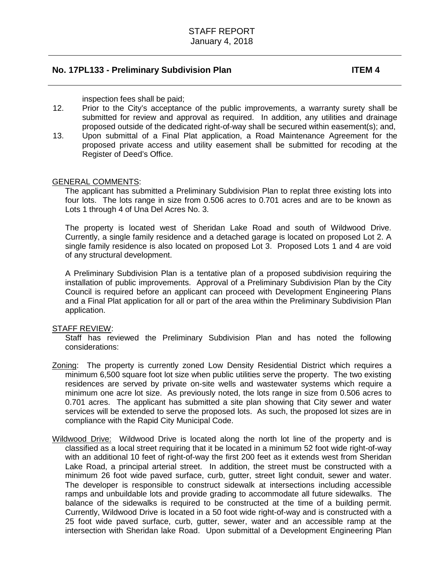inspection fees shall be paid;

- 12. Prior to the City's acceptance of the public improvements, a warranty surety shall be submitted for review and approval as required. In addition, any utilities and drainage proposed outside of the dedicated right-of-way shall be secured within easement(s); and,
- 13. Upon submittal of a Final Plat application, a Road Maintenance Agreement for the proposed private access and utility easement shall be submitted for recoding at the Register of Deed's Office.

### GENERAL COMMENTS:

The applicant has submitted a Preliminary Subdivision Plan to replat three existing lots into four lots. The lots range in size from 0.506 acres to 0.701 acres and are to be known as Lots 1 through 4 of Una Del Acres No. 3.

The property is located west of Sheridan Lake Road and south of Wildwood Drive. Currently, a single family residence and a detached garage is located on proposed Lot 2. A single family residence is also located on proposed Lot 3. Proposed Lots 1 and 4 are void of any structural development.

A Preliminary Subdivision Plan is a tentative plan of a proposed subdivision requiring the installation of public improvements. Approval of a Preliminary Subdivision Plan by the City Council is required before an applicant can proceed with Development Engineering Plans and a Final Plat application for all or part of the area within the Preliminary Subdivision Plan application.

### STAFF REVIEW:

Staff has reviewed the Preliminary Subdivision Plan and has noted the following considerations:

- Zoning: The property is currently zoned Low Density Residential District which requires a minimum 6,500 square foot lot size when public utilities serve the property. The two existing residences are served by private on-site wells and wastewater systems which require a minimum one acre lot size. As previously noted, the lots range in size from 0.506 acres to 0.701 acres. The applicant has submitted a site plan showing that City sewer and water services will be extended to serve the proposed lots. As such, the proposed lot sizes are in compliance with the Rapid City Municipal Code.
- Wildwood Drive: Wildwood Drive is located along the north lot line of the property and is classified as a local street requiring that it be located in a minimum 52 foot wide right-of-way with an additional 10 feet of right-of-way the first 200 feet as it extends west from Sheridan Lake Road, a principal arterial street. In addition, the street must be constructed with a minimum 26 foot wide paved surface, curb, gutter, street light conduit, sewer and water. The developer is responsible to construct sidewalk at intersections including accessible ramps and unbuildable lots and provide grading to accommodate all future sidewalks. The balance of the sidewalks is required to be constructed at the time of a building permit. Currently, Wildwood Drive is located in a 50 foot wide right-of-way and is constructed with a 25 foot wide paved surface, curb, gutter, sewer, water and an accessible ramp at the intersection with Sheridan lake Road. Upon submittal of a Development Engineering Plan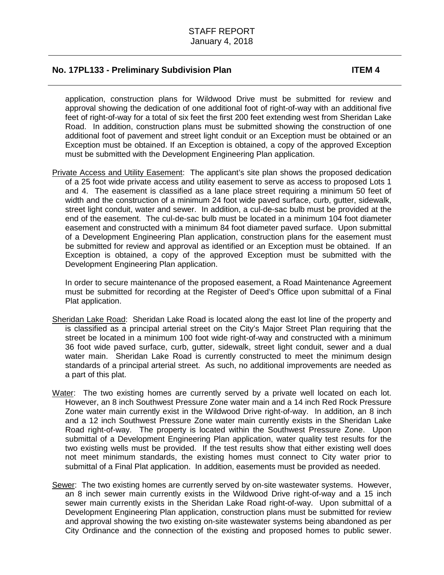application, construction plans for Wildwood Drive must be submitted for review and approval showing the dedication of one additional foot of right-of-way with an additional five feet of right-of-way for a total of six feet the first 200 feet extending west from Sheridan Lake Road. In addition, construction plans must be submitted showing the construction of one additional foot of pavement and street light conduit or an Exception must be obtained or an Exception must be obtained. If an Exception is obtained, a copy of the approved Exception must be submitted with the Development Engineering Plan application.

Private Access and Utility Easement: The applicant's site plan shows the proposed dedication of a 25 foot wide private access and utility easement to serve as access to proposed Lots 1 and 4. The easement is classified as a lane place street requiring a minimum 50 feet of width and the construction of a minimum 24 foot wide paved surface, curb, gutter, sidewalk, street light conduit, water and sewer. In addition, a cul-de-sac bulb must be provided at the end of the easement. The cul-de-sac bulb must be located in a minimum 104 foot diameter easement and constructed with a minimum 84 foot diameter paved surface. Upon submittal of a Development Engineering Plan application, construction plans for the easement must be submitted for review and approval as identified or an Exception must be obtained. If an Exception is obtained, a copy of the approved Exception must be submitted with the Development Engineering Plan application.

In order to secure maintenance of the proposed easement, a Road Maintenance Agreement must be submitted for recording at the Register of Deed's Office upon submittal of a Final Plat application.

- Sheridan Lake Road: Sheridan Lake Road is located along the east lot line of the property and is classified as a principal arterial street on the City's Major Street Plan requiring that the street be located in a minimum 100 foot wide right-of-way and constructed with a minimum 36 foot wide paved surface, curb, gutter, sidewalk, street light conduit, sewer and a dual water main. Sheridan Lake Road is currently constructed to meet the minimum design standards of a principal arterial street. As such, no additional improvements are needed as a part of this plat.
- Water: The two existing homes are currently served by a private well located on each lot. However, an 8 inch Southwest Pressure Zone water main and a 14 inch Red Rock Pressure Zone water main currently exist in the Wildwood Drive right-of-way. In addition, an 8 inch and a 12 inch Southwest Pressure Zone water main currently exists in the Sheridan Lake Road right-of-way. The property is located within the Southwest Pressure Zone. Upon submittal of a Development Engineering Plan application, water quality test results for the two existing wells must be provided. If the test results show that either existing well does not meet minimum standards, the existing homes must connect to City water prior to submittal of a Final Plat application. In addition, easements must be provided as needed.
- Sewer: The two existing homes are currently served by on-site wastewater systems. However, an 8 inch sewer main currently exists in the Wildwood Drive right-of-way and a 15 inch sewer main currently exists in the Sheridan Lake Road right-of-way. Upon submittal of a Development Engineering Plan application, construction plans must be submitted for review and approval showing the two existing on-site wastewater systems being abandoned as per City Ordinance and the connection of the existing and proposed homes to public sewer.